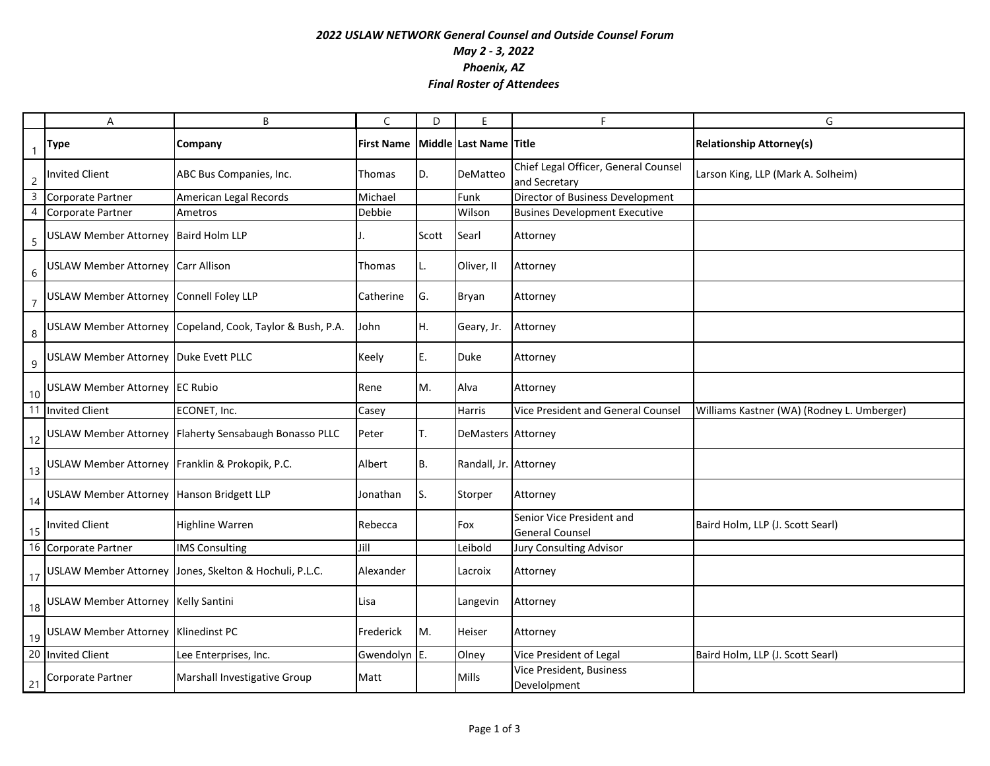## *2022 USLAW NETWORK General Counsel and Outside Counsel Forum May 2 - 3, 2022 Phoenix, AZ Final Roster of Attendees*

|                | Α                                                  | B                                                         | C                 | D         | F                      | F                                                     | G                                          |
|----------------|----------------------------------------------------|-----------------------------------------------------------|-------------------|-----------|------------------------|-------------------------------------------------------|--------------------------------------------|
|                | Type                                               | Company                                                   | <b>First Name</b> |           | Middle Last Name Title |                                                       | <b>Relationship Attorney(s)</b>            |
| $\overline{c}$ | <b>Invited Client</b>                              | ABC Bus Companies, Inc.                                   | Thomas            | D.        | DeMatteo               | Chief Legal Officer, General Counsel<br>and Secretary | Larson King, LLP (Mark A. Solheim)         |
| $\overline{3}$ | Corporate Partner                                  | American Legal Records                                    | Michael           |           | Funk                   | Director of Business Development                      |                                            |
| 4              | Corporate Partner                                  | Ametros                                                   | Debbie            |           | Wilson                 | <b>Busines Development Executive</b>                  |                                            |
| 5              | USLAW Member Attorney   Baird Holm LLP             |                                                           |                   | Scott     | Searl                  | Attorney                                              |                                            |
| $6\,$          | USLAW Member Attorney Carr Allison                 |                                                           | Thomas            |           | Oliver, II             | Attorney                                              |                                            |
|                | USLAW Member Attorney Connell Foley LLP            |                                                           | Catherine         | G.        | Bryan                  | Attorney                                              |                                            |
| $\,8\,$        |                                                    | USLAW Member Attorney Copeland, Cook, Taylor & Bush, P.A. | John              | H.        | Geary, Jr.             | Attorney                                              |                                            |
| $\overline{9}$ | USLAW Member Attorney Duke Evett PLLC              |                                                           | Keely             | E.        | Duke                   | Attorney                                              |                                            |
|                | 10 USLAW Member Attorney EC Rubio                  |                                                           | Rene              | M.        | Alva                   | Attorney                                              |                                            |
|                | 11 Invited Client                                  | ECONET, Inc.                                              | Casey             |           | Harris                 | Vice President and General Counsel                    | Williams Kastner (WA) (Rodney L. Umberger) |
| 12             |                                                    | USLAW Member Attorney Flaherty Sensabaugh Bonasso PLLC    | Peter             | Т.        | DeMasters Attorney     |                                                       |                                            |
|                | 13 USLAW Member Attorney Franklin & Prokopik, P.C. |                                                           | Albert            | <b>B.</b> | Randall, Jr. Attorney  |                                                       |                                            |
|                | 14 USLAW Member Attorney Hanson Bridgett LLP       |                                                           | Jonathan          | S.        | Storper                | Attorney                                              |                                            |
|                | 15 Invited Client                                  | <b>Highline Warren</b>                                    | Rebecca           |           | Fox                    | Senior Vice President and<br><b>General Counsel</b>   | Baird Holm, LLP (J. Scott Searl)           |
|                | 16 Corporate Partner                               | <b>IMS Consulting</b>                                     | Jill              |           | Leibold                | Jury Consulting Advisor                               |                                            |
|                |                                                    | 17 USLAW Member Attorney Jones, Skelton & Hochuli, P.L.C. | Alexander         |           | Lacroix                | Attorney                                              |                                            |
|                | 18 USLAW Member Attorney Kelly Santini             |                                                           | Lisa              |           | Langevin               | Attorney                                              |                                            |
|                | 19 USLAW Member Attorney Klinedinst PC             |                                                           | Frederick         | M.        | Heiser                 | Attorney                                              |                                            |
|                | 20 Invited Client                                  | Lee Enterprises, Inc.                                     | Gwendolyn E.      |           | Olney                  | Vice President of Legal                               | Baird Holm, LLP (J. Scott Searl)           |
| 21             | Corporate Partner                                  | Marshall Investigative Group                              | Matt              |           | Mills                  | Vice President, Business<br>Develolpment              |                                            |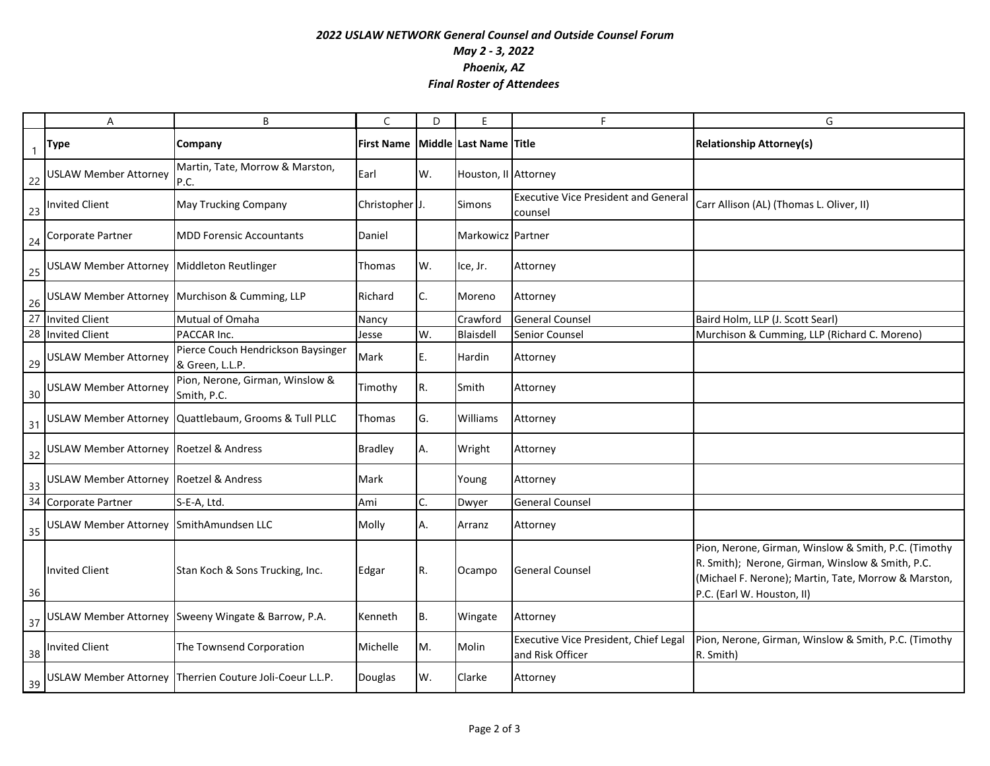## *2022 USLAW NETWORK General Counsel and Outside Counsel Forum May 2 - 3, 2022 Phoenix, AZ Final Roster of Attendees*

|                | Α                                          | B                                                        | C                 | D  | E                      | F                                                         | G                                                                                                                                                                                              |
|----------------|--------------------------------------------|----------------------------------------------------------|-------------------|----|------------------------|-----------------------------------------------------------|------------------------------------------------------------------------------------------------------------------------------------------------------------------------------------------------|
| $\overline{1}$ | Type                                       | Company                                                  | <b>First Name</b> |    | Middle Last Name Title |                                                           | <b>Relationship Attorney(s)</b>                                                                                                                                                                |
| 22             | <b>USLAW Member Attorney</b>               | Martin, Tate, Morrow & Marston,<br>P.C.                  | Earl              | W. | Houston, II Attorney   |                                                           |                                                                                                                                                                                                |
| 23             | <b>Invited Client</b>                      | <b>May Trucking Company</b>                              | Christopher J.    |    | Simons                 | <b>Executive Vice President and General</b><br>counsel    | Carr Allison (AL) (Thomas L. Oliver, II)                                                                                                                                                       |
| 24             | Corporate Partner                          | <b>MDD Forensic Accountants</b>                          | Daniel            |    | Markowicz Partner      |                                                           |                                                                                                                                                                                                |
| 25             | USLAW Member Attorney Middleton Reutlinger |                                                          | Thomas            | W. | Ice, Jr.               | Attorney                                                  |                                                                                                                                                                                                |
| 26             |                                            | USLAW Member Attorney Murchison & Cumming, LLP           | Richard           | C. | Moreno                 | Attorney                                                  |                                                                                                                                                                                                |
|                | 27 Invited Client                          | Mutual of Omaha                                          | Nancy             |    | Crawford               | <b>General Counsel</b>                                    | Baird Holm, LLP (J. Scott Searl)                                                                                                                                                               |
|                | 28 Invited Client                          | PACCAR Inc.                                              | Jesse             | W. | Blaisdell              | Senior Counsel                                            | Murchison & Cumming, LLP (Richard C. Moreno)                                                                                                                                                   |
| 29             | <b>USLAW Member Attorney</b>               | Pierce Couch Hendrickson Baysinger<br>& Green, L.L.P.    | Mark              | E. | Hardin                 | Attorney                                                  |                                                                                                                                                                                                |
| 30             | <b>USLAW Member Attorney</b>               | Pion, Nerone, Girman, Winslow &<br>Smith, P.C.           | Timothy           | R. | Smith                  | Attorney                                                  |                                                                                                                                                                                                |
| 31             |                                            | USLAW Member Attorney Quattlebaum, Grooms & Tull PLLC    | Thomas            | G. | Williams               | Attorney                                                  |                                                                                                                                                                                                |
| 32             | USLAW Member Attorney Roetzel & Andress    |                                                          | <b>Bradley</b>    | Α. | Wright                 | Attorney                                                  |                                                                                                                                                                                                |
| 33             | USLAW Member Attorney Roetzel & Andress    |                                                          | Mark              |    | Young                  | Attorney                                                  |                                                                                                                                                                                                |
| 34             | Corporate Partner                          | S-E-A, Ltd.                                              | Ami               | C. | Dwyer                  | General Counsel                                           |                                                                                                                                                                                                |
| 35             | USLAW Member Attorney SmithAmundsen LLC    |                                                          | Molly             | А. | Arranz                 | Attorney                                                  |                                                                                                                                                                                                |
| 36             | <b>Invited Client</b>                      | Stan Koch & Sons Trucking, Inc.                          | Edgar             | R. | Ocampo                 | <b>General Counsel</b>                                    | Pion, Nerone, Girman, Winslow & Smith, P.C. (Timothy<br>R. Smith); Nerone, Girman, Winslow & Smith, P.C.<br>(Michael F. Nerone); Martin, Tate, Morrow & Marston,<br>P.C. (Earl W. Houston, II) |
| 37             |                                            | USLAW Member Attorney Sweeny Wingate & Barrow, P.A.      | Kenneth           | B. | Wingate                | Attorney                                                  |                                                                                                                                                                                                |
| 38             | <b>Invited Client</b>                      | The Townsend Corporation                                 | Michelle          | M. | Molin                  | Executive Vice President, Chief Legal<br>and Risk Officer | Pion, Nerone, Girman, Winslow & Smith, P.C. (Timothy<br>R. Smith)                                                                                                                              |
| 39             |                                            | USLAW Member Attorney Therrien Couture Joli-Coeur L.L.P. | Douglas           | W. | Clarke                 | Attorney                                                  |                                                                                                                                                                                                |